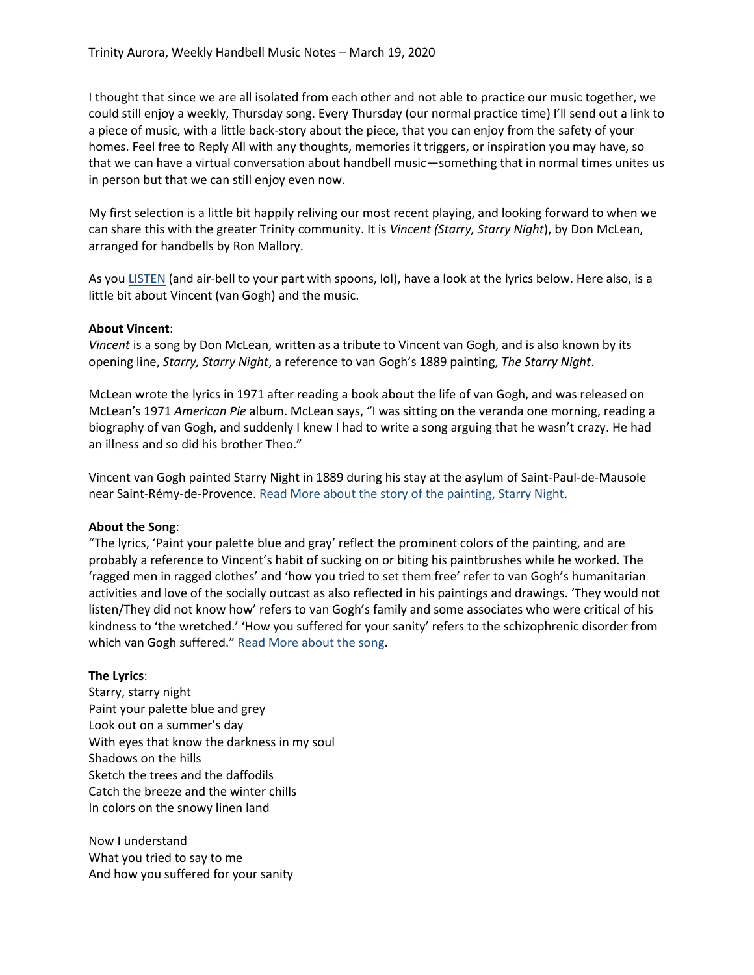I thought that since we are all isolated from each other and not able to practice our music together, we could still enjoy a weekly, Thursday song. Every Thursday (our normal practice time) I'll send out a link to a piece of music, with a little back-story about the piece, that you can enjoy from the safety of your homes. Feel free to Reply All with any thoughts, memories it triggers, or inspiration you may have, so that we can have a virtual conversation about handbell music—something that in normal times unites us in person but that we can still enjoy even now.

My first selection is a little bit happily reliving our most recent playing, and looking forward to when we can share this with the greater Trinity community. It is *Vincent (Starry, Starry Night*), by Don McLean, arranged for handbells by Ron Mallory.

As you [LISTEN](https://www.youtube.com/watch?v=jxpRg4atJEA) (and air-bell to your part with spoons, lol), have a look at the lyrics below. Here also, is a little bit about Vincent (van Gogh) and the music.

## **About Vincent**:

*Vincent* is a song by Don McLean, written as a tribute to Vincent van Gogh, and is also known by its opening line, *Starry, Starry Night*, a reference to van Gogh's 1889 painting, *The Starry Night*.

McLean wrote the lyrics in 1971 after reading a book about the life of van Gogh, and was released on McLean's 1971 *American Pie* album. McLean says, "I was sitting on the veranda one morning, reading a biography of van Gogh, and suddenly I knew I had to write a song arguing that he wasn't crazy. He had an illness and so did his brother Theo."

Vincent van Gogh painted Starry Night in 1889 during his stay at the asylum of Saint-Paul-de-Mausole near Saint-Rémy-de-Provence[. Read More about the story of the painting, Starry Night.](https://www.vangoghgallery.com/painting/starry-night.html)

## **About the Song**:

"The lyrics, 'Paint your palette blue and gray' reflect the prominent colors of the painting, and are probably a reference to Vincent's habit of sucking on or biting his paintbrushes while he worked. The 'ragged men in ragged clothes' and 'how you tried to set them free' refer to van Gogh's humanitarian activities and love of the socially outcast as also reflected in his paintings and drawings. 'They would not listen/They did not know how' refers to van Gogh's family and some associates who were critical of his kindness to 'the wretched.' 'How you suffered for your sanity' refers to the schizophrenic disorder from which van Gogh suffered." [Read More about the song.](https://www.songfacts.com/facts/don-mclean/vincent)

## **The Lyrics**:

Starry, starry night Paint your palette blue and grey Look out on a summer's day With eyes that know the darkness in my soul Shadows on the hills Sketch the trees and the daffodils Catch the breeze and the winter chills In colors on the snowy linen land

Now I understand What you tried to say to me And how you suffered for your sanity